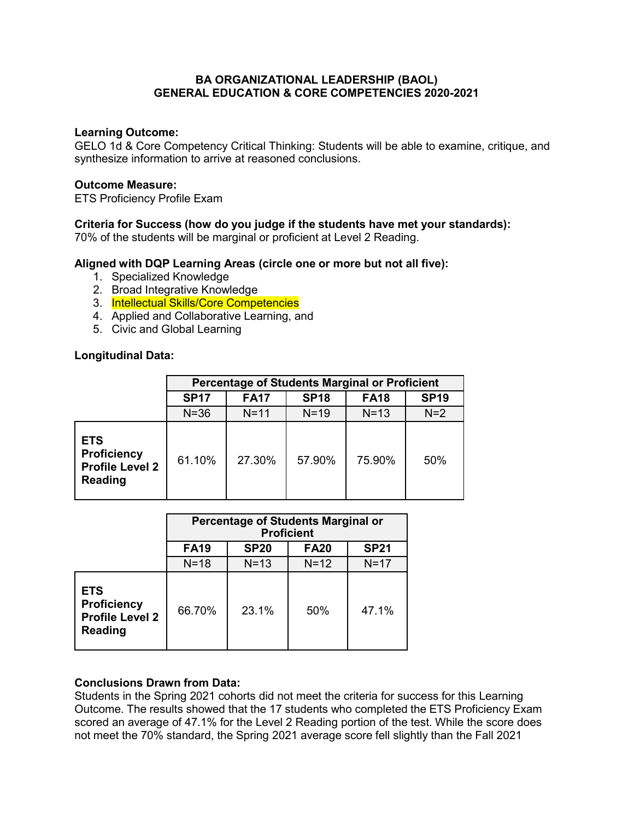### **BA ORGANIZATIONAL LEADERSHIP (BAOL) GENERAL EDUCATION & CORE COMPETENCIES 2020-2021**

### **Learning Outcome:**

GELO 1d & Core Competency Critical Thinking: Students will be able to examine, critique, and synthesize information to arrive at reasoned conclusions.

#### **Outcome Measure:**

ETS Proficiency Profile Exam

## **Criteria for Success (how do you judge if the students have met your standards):**

70% of the students will be marginal or proficient at Level 2 Reading.

# **Aligned with DQP Learning Areas (circle one or more but not all five):**

- 1. Specialized Knowledge
- 2. Broad Integrative Knowledge
- 3. Intellectual Skills/Core Competencies
- 4. Applied and Collaborative Learning, and
- 5. Civic and Global Learning

## **Longitudinal Data:**

|                                                                              | <b>Percentage of Students Marginal or Proficient</b> |             |             |             |             |  |  |
|------------------------------------------------------------------------------|------------------------------------------------------|-------------|-------------|-------------|-------------|--|--|
|                                                                              | <b>SP17</b>                                          | <b>FA17</b> | <b>SP18</b> | <b>FA18</b> | <b>SP19</b> |  |  |
|                                                                              | $N = 36$                                             | $N = 11$    | $N=19$      | $N=13$      | $N=2$       |  |  |
| <b>ETS</b><br><b>Proficiency</b><br><b>Profile Level 2</b><br><b>Reading</b> | 61.10%                                               | 27.30%      | 57.90%      | 75.90%      | 50%         |  |  |

|                                                                              | <b>Percentage of Students Marginal or</b><br><b>Proficient</b> |             |             |             |  |  |
|------------------------------------------------------------------------------|----------------------------------------------------------------|-------------|-------------|-------------|--|--|
|                                                                              | <b>FA19</b>                                                    | <b>SP20</b> | <b>FA20</b> | <b>SP21</b> |  |  |
|                                                                              | $N=18$                                                         | $N=13$      | $N=12$      | $N=17$      |  |  |
| <b>ETS</b><br><b>Proficiency</b><br><b>Profile Level 2</b><br><b>Reading</b> | 66.70%                                                         | 23.1%       | 50%         | 47 1%       |  |  |

## **Conclusions Drawn from Data:**

Students in the Spring 2021 cohorts did not meet the criteria for success for this Learning Outcome. The results showed that the 17 students who completed the ETS Proficiency Exam scored an average of 47.1% for the Level 2 Reading portion of the test. While the score does not meet the 70% standard, the Spring 2021 average score fell slightly than the Fall 2021